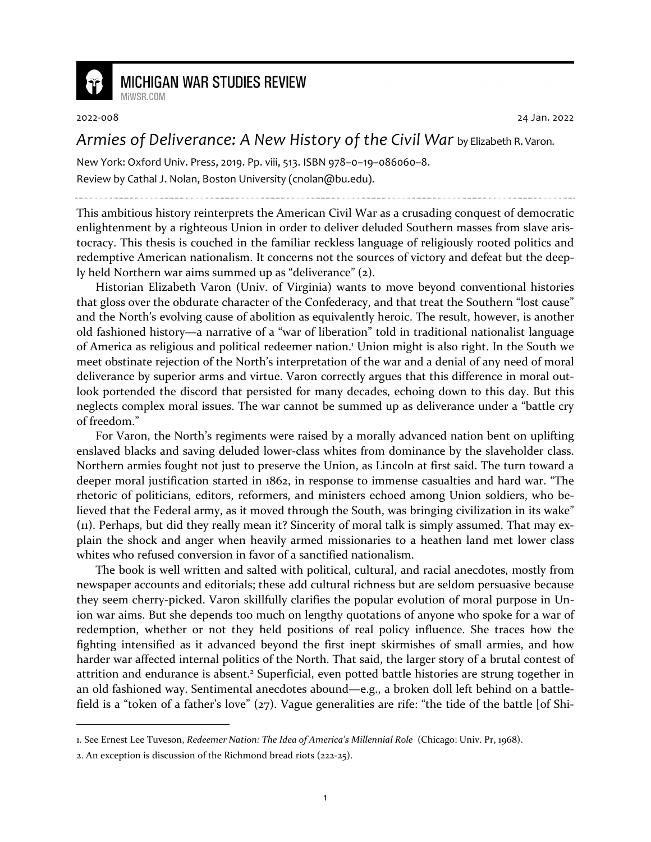

## **MICHIGAN WAR STUDIES REVIEW**

MiWSR COM

2022-008 24 Jan. 2022

## *Armies of Deliverance: A New History of the Civil War* by Elizabeth R. Varon.

New York: Oxford Univ. Press, 2019. Pp. viii, 513. ISBN 978–0–19–086060–8. Review by Cathal J. Nolan, Boston University (cnolan@bu.edu).

This ambitious history reinterprets the American Civil War as a crusading conquest of democratic enlightenment by a righteous Union in order to deliver deluded Southern masses from slave aristocracy. This thesis is couched in the familiar reckless language of religiously rooted politics and redemptive American nationalism. It concerns not the sources of victory and defeat but the deeply held Northern war aims summed up as "deliverance" (2).

Historian Elizabeth Varon (Univ. of Virginia) wants to move beyond conventional histories that gloss over the obdurate character of the Confederacy, and that treat the Southern "lost cause" and the North's evolving cause of abolition as equivalently heroic. The result, however, is another old fashioned history—a narrative of a "war of liberation" told in traditional nationalist language of America as religious and political redeemer nation.<sup>1</sup> Union might is also right. In the South we meet obstinate rejection of the North's interpretation of the war and a denial of any need of moral deliverance by superior arms and virtue. Varon correctly argues that this difference in moral outlook portended the discord that persisted for many decades, echoing down to this day. But this neglects complex moral issues. The war cannot be summed up as deliverance under a "battle cry of freedom."

For Varon, the North's regiments were raised by a morally advanced nation bent on uplifting enslaved blacks and saving deluded lower-class whites from dominance by the slaveholder class. Northern armies fought not just to preserve the Union, as Lincoln at first said. The turn toward a deeper moral justification started in 1862, in response to immense casualties and hard war. "The rhetoric of politicians, editors, reformers, and ministers echoed among Union soldiers, who believed that the Federal army, as it moved through the South, was bringing civilization in its wake" (11). Perhaps, but did they really mean it? Sincerity of moral talk is simply assumed. That may explain the shock and anger when heavily armed missionaries to a heathen land met lower class whites who refused conversion in favor of a sanctified nationalism.

The book is well written and salted with political, cultural, and racial anecdotes, mostly from newspaper accounts and editorials; these add cultural richness but are seldom persuasive because they seem cherry-picked. Varon skillfully clarifies the popular evolution of moral purpose in Union war aims. But she depends too much on lengthy quotations of anyone who spoke for a war of redemption, whether or not they held positions of real policy influence. She traces how the fighting intensified as it advanced beyond the first inept skirmishes of small armies, and how harder war affected internal politics of the North. That said, the larger story of a brutal contest of attrition and endurance is absent.<sup>2</sup> Superficial, even potted battle histories are strung together in an old fashioned way. Sentimental anecdotes abound—e.g., a broken doll left behind on a battlefield is a "token of a father's love" (27). Vague generalities are rife: "the tide of the battle [of Shi-

<sup>1.</sup> See Ernest Lee Tuveson, *Redeemer Nation: The Idea of America's Millennial Role* (Chicago: Univ. Pr, 1968).

<sup>2.</sup> An exception is discussion of the Richmond bread riots (222-25).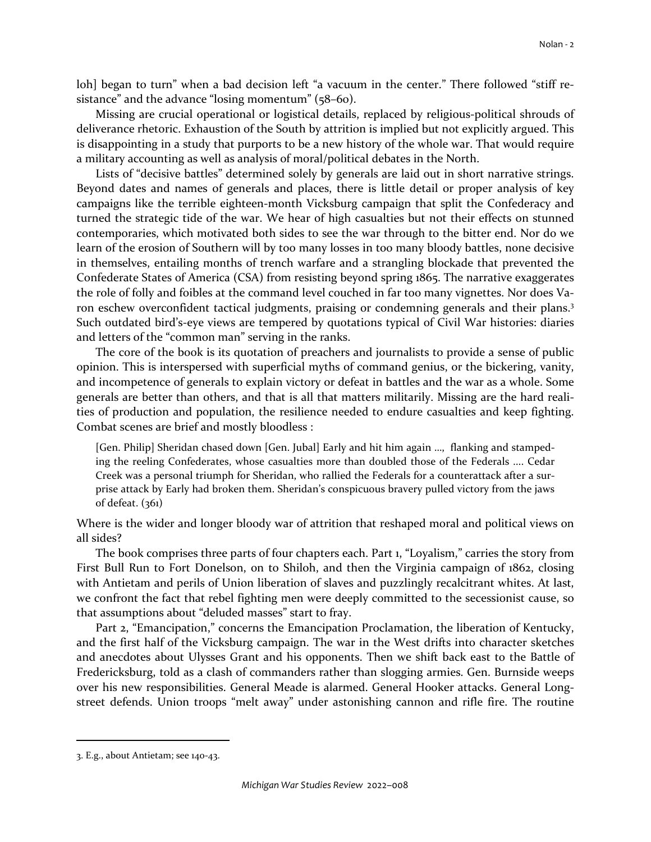loh] began to turn" when a bad decision left "a vacuum in the center." There followed "stiff resistance" and the advance "losing momentum" (58–60).

Missing are crucial operational or logistical details, replaced by religious-political shrouds of deliverance rhetoric. Exhaustion of the South by attrition is implied but not explicitly argued. This is disappointing in a study that purports to be a new history of the whole war. That would require a military accounting as well as analysis of moral/political debates in the North.

Lists of "decisive battles" determined solely by generals are laid out in short narrative strings. Beyond dates and names of generals and places, there is little detail or proper analysis of key campaigns like the terrible eighteen-month Vicksburg campaign that split the Confederacy and turned the strategic tide of the war. We hear of high casualties but not their effects on stunned contemporaries, which motivated both sides to see the war through to the bitter end. Nor do we learn of the erosion of Southern will by too many losses in too many bloody battles, none decisive in themselves, entailing months of trench warfare and a strangling blockade that prevented the Confederate States of America (CSA) from resisting beyond spring 1865. The narrative exaggerates the role of folly and foibles at the command level couched in far too many vignettes. Nor does Varon eschew overconfident tactical judgments, praising or condemning generals and their plans.<sup>3</sup> Such outdated bird's-eye views are tempered by quotations typical of Civil War histories: diaries and letters of the "common man" serving in the ranks.

The core of the book is its quotation of preachers and journalists to provide a sense of public opinion. This is interspersed with superficial myths of command genius, or the bickering, vanity, and incompetence of generals to explain victory or defeat in battles and the war as a whole. Some generals are better than others, and that is all that matters militarily. Missing are the hard realities of production and population, the resilience needed to endure casualties and keep fighting. Combat scenes are brief and mostly bloodless :

[Gen. Philip] Sheridan chased down [Gen. Jubal] Early and hit him again …, flanking and stampeding the reeling Confederates, whose casualties more than doubled those of the Federals .... Cedar Creek was a personal triumph for Sheridan, who rallied the Federals for a counterattack after a surprise attack by Early had broken them. Sheridan's conspicuous bravery pulled victory from the jaws of defeat. (361)

Where is the wider and longer bloody war of attrition that reshaped moral and political views on all sides?

The book comprises three parts of four chapters each. Part 1, "Loyalism," carries the story from First Bull Run to Fort Donelson, on to Shiloh, and then the Virginia campaign of 1862, closing with Antietam and perils of Union liberation of slaves and puzzlingly recalcitrant whites. At last, we confront the fact that rebel fighting men were deeply committed to the secessionist cause, so that assumptions about "deluded masses" start to fray.

Part 2, "Emancipation," concerns the Emancipation Proclamation, the liberation of Kentucky, and the first half of the Vicksburg campaign. The war in the West drifts into character sketches and anecdotes about Ulysses Grant and his opponents. Then we shift back east to the Battle of Fredericksburg, told as a clash of commanders rather than slogging armies. Gen. Burnside weeps over his new responsibilities. General Meade is alarmed. General Hooker attacks. General Longstreet defends. Union troops "melt away" under astonishing cannon and rifle fire. The routine

<sup>3.</sup> E.g., about Antietam; see 140-43.